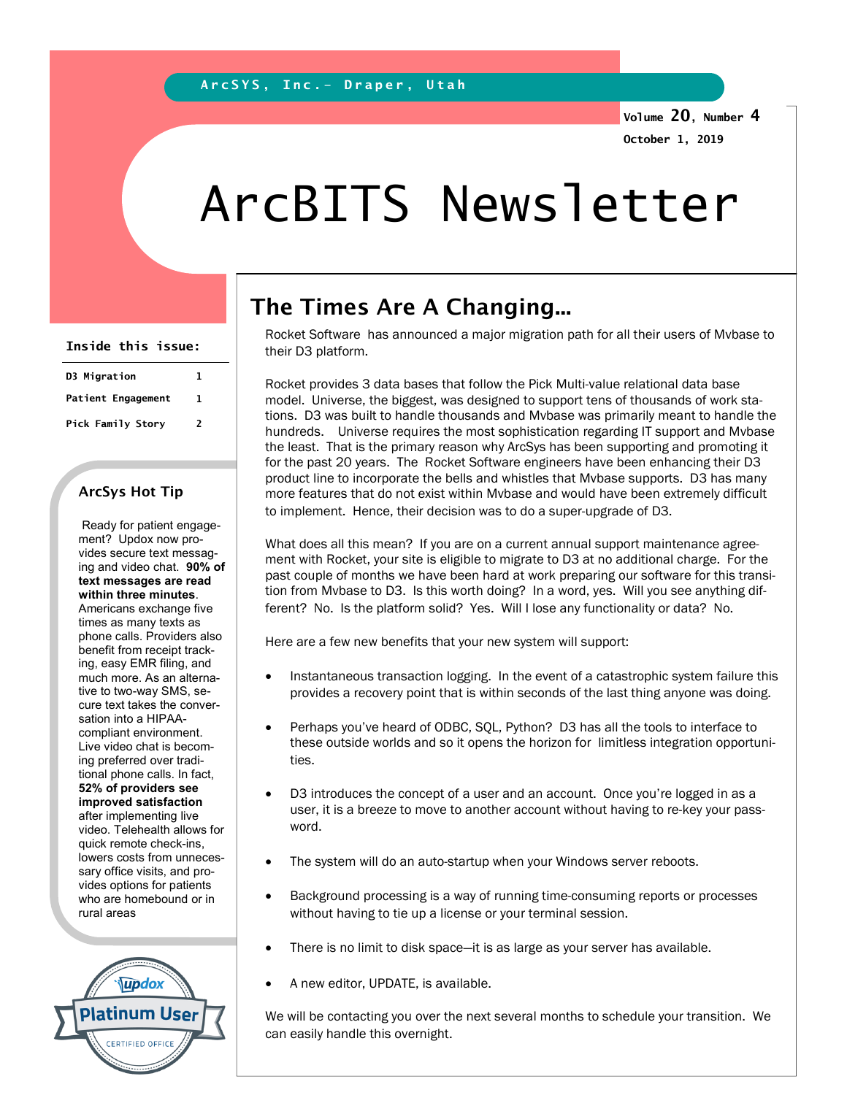Volume 20, Number 4 October 1, 2019

## ArcBITS Newsletter

| Inside this issue:        |   |
|---------------------------|---|
| D3 Migration              | ı |
| <b>Patient Engagement</b> | 1 |
| Pick Family Story         | 2 |

## ArcSys Hot Tip

 Ready for patient engagement? Updox now provides secure text messaging and video chat. 90% of text messages are read within three minutes. Americans exchange five times as many texts as phone calls. Providers also benefit from receipt tracking, easy EMR filing, and much more. As an alternative to two-way SMS, secure text takes the conversation into a HIPAAcompliant environment. Live video chat is becoming preferred over traditional phone calls. In fact, 52% of providers see improved satisfaction after implementing live video. Telehealth allows for quick remote check-ins, lowers costs from unnecessary office visits, and provides options for patients who are homebound or in rural areas



## The Times Are A Changing...

Rocket Software has announced a major migration path for all their users of Mvbase to their D3 platform.

Rocket provides 3 data bases that follow the Pick Multi-value relational data base model. Universe, the biggest, was designed to support tens of thousands of work stations. D3 was built to handle thousands and Mvbase was primarily meant to handle the hundreds. Universe requires the most sophistication regarding IT support and Mvbase the least. That is the primary reason why ArcSys has been supporting and promoting it for the past 20 years. The Rocket Software engineers have been enhancing their D3 product line to incorporate the bells and whistles that Mvbase supports. D3 has many more features that do not exist within Mvbase and would have been extremely difficult to implement. Hence, their decision was to do a super-upgrade of D3.

What does all this mean? If you are on a current annual support maintenance agreement with Rocket, your site is eligible to migrate to D3 at no additional charge. For the past couple of months we have been hard at work preparing our software for this transition from Mvbase to D3. Is this worth doing? In a word, yes. Will you see anything different? No. Is the platform solid? Yes. Will I lose any functionality or data? No.

Here are a few new benefits that your new system will support:

- Instantaneous transaction logging. In the event of a catastrophic system failure this provides a recovery point that is within seconds of the last thing anyone was doing.
- Perhaps you've heard of ODBC, SQL, Python? D3 has all the tools to interface to these outside worlds and so it opens the horizon for limitless integration opportunities.
- D3 introduces the concept of a user and an account. Once you're logged in as a user, it is a breeze to move to another account without having to re-key your password.
- The system will do an auto-startup when your Windows server reboots.
- Background processing is a way of running time-consuming reports or processes without having to tie up a license or your terminal session.
- There is no limit to disk space—it is as large as your server has available.
- A new editor, UPDATE, is available.

We will be contacting you over the next several months to schedule your transition. We can easily handle this overnight.